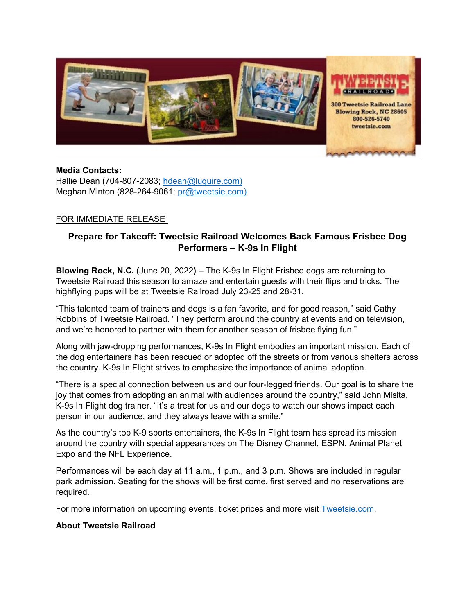

### **Media Contacts:**

Hallie Dean (704-807-2083; [hdean@luquire.com\)](mailto:hdean@luquire.com) Meghan Minton (828-264-9061; [pr@tweetsie.com\)](about:blank)

### FOR IMMEDIATE RELEASE

# **Prepare for Takeoff: Tweetsie Railroad Welcomes Back Famous Frisbee Dog Performers – K-9s In Flight**

**Blowing Rock, N.C. (**June 20, 2022**)** – The K-9s In Flight Frisbee dogs are returning to Tweetsie Railroad this season to amaze and entertain guests with their flips and tricks. The highflying pups will be at Tweetsie Railroad July 23-25 and 28-31.

"This talented team of trainers and dogs is a fan favorite, and for good reason," said Cathy Robbins of Tweetsie Railroad. "They perform around the country at events and on television, and we're honored to partner with them for another season of frisbee flying fun."

Along with jaw-dropping performances, K-9s In Flight embodies an important mission. Each of the dog entertainers has been rescued or adopted off the streets or from various shelters across the country. K-9s In Flight strives to emphasize the importance of animal adoption.

"There is a special connection between us and our four-legged friends. Our goal is to share the joy that comes from adopting an animal with audiences around the country," said John Misita, K-9s In Flight dog trainer. "It's a treat for us and our dogs to watch our shows impact each person in our audience, and they always leave with a smile."

As the country's top K-9 sports entertainers, the K-9s In Flight team has spread its mission around the country with special appearances on The Disney Channel, ESPN, Animal Planet Expo and the NFL Experience.

Performances will be each day at 11 a.m., 1 p.m., and 3 p.m. Shows are included in regular park admission. Seating for the shows will be first come, first served and no reservations are required.

For more information on upcoming events, ticket prices and more visit [Tweetsie.com.](https://tweetsie.com/)

### **About Tweetsie Railroad**